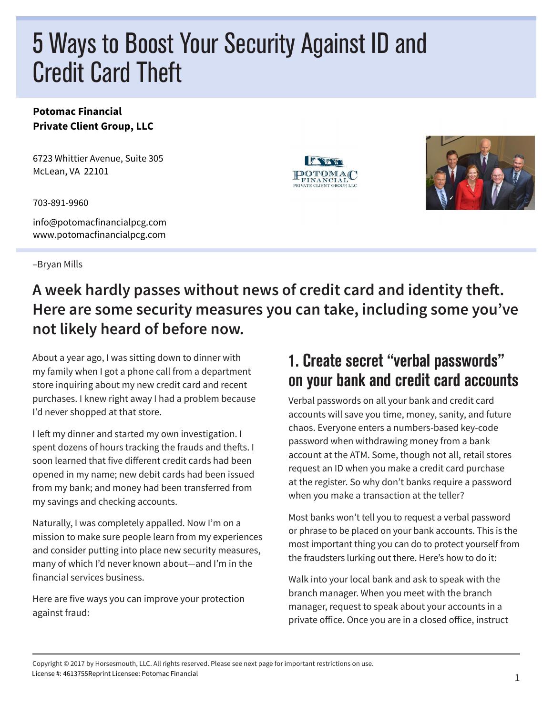# 5 Ways to Boost Your Security Against ID and Credit Card Theft

#### **Potomac Financial Private Client Group, LLC**

6723 Whittier Avenue, Suite 305 McLean, VA 22101

703-891-9960

info@potomacfinancialpcg.com www.potomacfinancialpcg.com

–Bryan Mills





#### **A week hardly passes without news of credit card and identity theft. Here are some security measures you can take, including some you've not likely heard of before now.**

About a year ago, I was sitting down to dinner with my family when I got a phone call from a department store inquiring about my new credit card and recent purchases. I knew right away I had a problem because I'd never shopped at that store.

I left my dinner and started my own investigation. I spent dozens of hours tracking the frauds and thefts. I soon learned that five different credit cards had been opened in my name; new debit cards had been issued from my bank; and money had been transferred from my savings and checking accounts.

Naturally, I was completely appalled. Now I'm on a mission to make sure people learn from my experiences and consider putting into place new security measures, many of which I'd never known about—and I'm in the financial services business.

Here are five ways you can improve your protection against fraud:

#### 1. Create secret "verbal passwords" on your bank and credit card accounts

Verbal passwords on all your bank and credit card accounts will save you time, money, sanity, and future chaos. Everyone enters a numbers-based key-code password when withdrawing money from a bank account at the ATM. Some, though not all, retail stores request an ID when you make a credit card purchase at the register. So why don't banks require a password when you make a transaction at the teller?

Most banks won't tell you to request a verbal password or phrase to be placed on your bank accounts. This is the most important thing you can do to protect yourself from the fraudsters lurking out there. Here's how to do it:

Walk into your local bank and ask to speak with the branch manager. When you meet with the branch manager, request to speak about your accounts in a private office. Once you are in a closed office, instruct

Copyright © 2017 by Horsesmouth, LLC. All rights reserved. Please see next page for important restrictions on use. License #: 4613755Reprint Licensee: Potomac Financial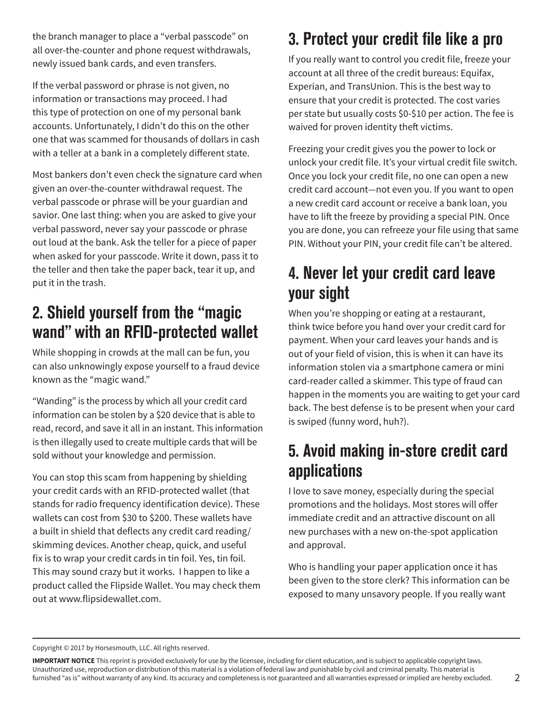the branch manager to place a "verbal passcode" on all over-the-counter and phone request withdrawals, newly issued bank cards, and even transfers.

If the verbal password or phrase is not given, no information or transactions may proceed. I had this type of protection on one of my personal bank accounts. Unfortunately, I didn't do this on the other one that was scammed for thousands of dollars in cash with a teller at a bank in a completely different state.

Most bankers don't even check the signature card when given an over-the-counter withdrawal request. The verbal passcode or phrase will be your guardian and savior. One last thing: when you are asked to give your verbal password, never say your passcode or phrase out loud at the bank. Ask the teller for a piece of paper when asked for your passcode. Write it down, pass it to the teller and then take the paper back, tear it up, and put it in the trash.

#### 2. Shield yourself from the "magic wand" with an RFID-protected wallet

While shopping in crowds at the mall can be fun, you can also unknowingly expose yourself to a fraud device known as the "magic wand."

"Wanding" is the process by which all your credit card information can be stolen by a \$20 device that is able to read, record, and save it all in an instant. This information is then illegally used to create multiple cards that will be sold without your knowledge and permission.

You can stop this scam from happening by shielding your credit cards with an RFID-protected wallet (that stands for radio frequency identification device). These wallets can cost from \$30 to \$200. These wallets have a built in shield that deflects any credit card reading/ skimming devices. Another cheap, quick, and useful fix is to wrap your credit cards in tin foil. Yes, tin foil. This may sound crazy but it works. I happen to like a product called the Flipside Wallet. You may check them out at www.flipsidewallet.com.

## 3. Protect your credit file like a pro

If you really want to control you credit file, freeze your account at all three of the credit bureaus: Equifax, Experian, and TransUnion. This is the best way to ensure that your credit is protected. The cost varies per state but usually costs \$0-\$10 per action. The fee is waived for proven identity theft victims.

Freezing your credit gives you the power to lock or unlock your credit file. It's your virtual credit file switch. Once you lock your credit file, no one can open a new credit card account—not even you. If you want to open a new credit card account or receive a bank loan, you have to lift the freeze by providing a special PIN. Once you are done, you can refreeze your file using that same PIN. Without your PIN, your credit file can't be altered.

### 4. Never let your credit card leave your sight

When you're shopping or eating at a restaurant, think twice before you hand over your credit card for payment. When your card leaves your hands and is out of your field of vision, this is when it can have its information stolen via a smartphone camera or mini card-reader called a skimmer. This type of fraud can happen in the moments you are waiting to get your card back. The best defense is to be present when your card is swiped (funny word, huh?).

### 5. Avoid making in-store credit card applications

I love to save money, especially during the special promotions and the holidays. Most stores will offer immediate credit and an attractive discount on all new purchases with a new on-the-spot application and approval.

Who is handling your paper application once it has been given to the store clerk? This information can be exposed to many unsavory people. If you really want

Copyright © 2017 by Horsesmouth, LLC. All rights reserved.

**IMPORTANT NOTICE** This reprint is provided exclusively for use by the licensee, including for client education, and is subject to applicable copyright laws. Unauthorized use, reproduction or distribution of this material is a violation of federal law and punishable by civil and criminal penalty. This material is furnished "as is" without warranty of any kind. Its accuracy and completeness is not guaranteed and all warranties expressed or implied are hereby excluded.